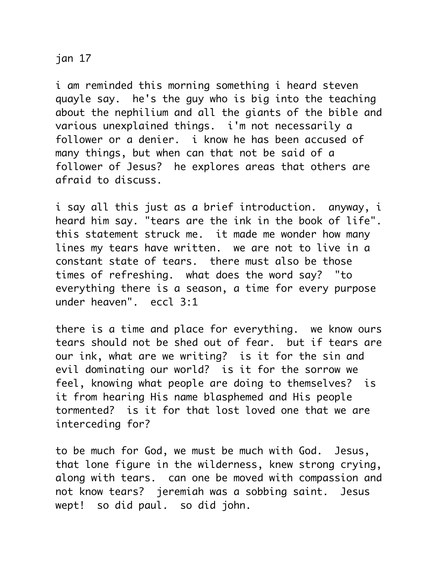## jan 17

i am reminded this morning something i heard steven quayle say. he's the guy who is big into the teaching about the nephilium and all the giants of the bible and various unexplained things. i'm not necessarily a follower or a denier. i know he has been accused of many things, but when can that not be said of a follower of Jesus? he explores areas that others are afraid to discuss.

i say all this just as a brief introduction. anyway, i heard him say. "tears are the ink in the book of life". this statement struck me. it made me wonder how many lines my tears have written. we are not to live in a constant state of tears. there must also be those times of refreshing. what does the word say? "to everything there is a season, a time for every purpose under heaven". eccl 3:1

there is a time and place for everything. we know ours tears should not be shed out of fear. but if tears are our ink, what are we writing? is it for the sin and evil dominating our world? is it for the sorrow we feel, knowing what people are doing to themselves? is it from hearing His name blasphemed and His people tormented? is it for that lost loved one that we are interceding for?

to be much for God, we must be much with God. Jesus, that lone figure in the wilderness, knew strong crying, along with tears. can one be moved with compassion and not know tears? jeremiah was a sobbing saint. Jesus wept! so did paul. so did john.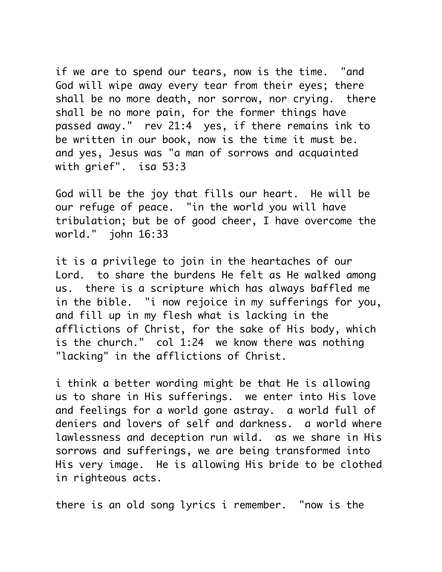if we are to spend our tears, now is the time. "and God will wipe away every tear from their eyes; there shall be no more death, nor sorrow, nor crying. there shall be no more pain, for the former things have passed away." rev 21:4 yes, if there remains ink to be written in our book, now is the time it must be. and yes, Jesus was "a man of sorrows and acquainted with grief". isa 53:3

God will be the joy that fills our heart. He will be our refuge of peace. "in the world you will have tribulation; but be of good cheer, I have overcome the world." john 16:33

it is a privilege to join in the heartaches of our Lord. to share the burdens He felt as He walked among us. there is a scripture which has always baffled me in the bible. "i now rejoice in my sufferings for you, and fill up in my flesh what is lacking in the afflictions of Christ, for the sake of His body, which is the church." col 1:24 we know there was nothing "lacking" in the afflictions of Christ.

i think a better wording might be that He is allowing us to share in His sufferings. we enter into His love and feelings for a world gone astray. a world full of deniers and lovers of self and darkness. a world where lawlessness and deception run wild. as we share in His sorrows and sufferings, we are being transformed into His very image. He is allowing His bride to be clothed in righteous acts.

there is an old song lyrics i remember. "now is the